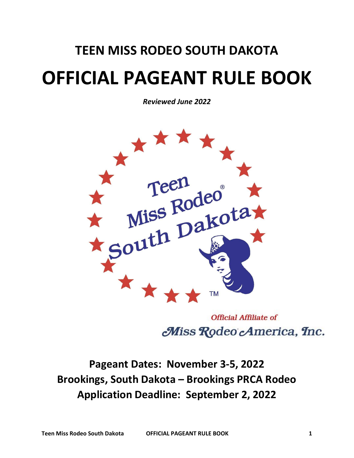## **TEEN MISS RODEO SOUTH DAKOTA OFFICIAL PAGEANT RULE BOOK**

*Reviewed June 2022*



**Official Affiliate of** Miss Rodeo America, Inc.

**Pageant Dates: November 3-5, 2022 Brookings, South Dakota – Brookings PRCA Rodeo Application Deadline: September 2, 2022**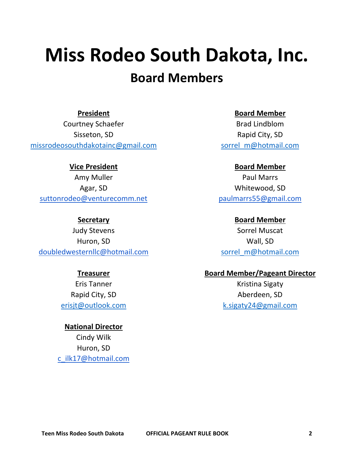# **Miss Rodeo South Dakota, Inc.**

## **Board Members**

**President**

Courtney Schaefer Sisseton, SD [missrodeosouthdakotainc@gmail.com](mailto:missrodeosouthdakotainc@gmail.com)

**Vice President** Amy Muller Agar, SD [suttonrodeo@venturecomm.net](mailto:suttonrodeo@venturecomm.net)

**Secretary**

Judy Stevens Huron, SD [doubledwesternllc@hotmail.com](mailto:doubledwesternllc@hotmail.com)

#### **Treasurer**

Eris Tanner Rapid City, SD [erisjt@outlook.com](mailto:erisjt@outlook.com)

**National Director** Cindy Wilk Huron, SD [c\\_ilk17@hotmail.com](mailto:c_ilk17@hotmail.com) **Board Member**

Brad Lindblom Rapid City, SD [sorrel\\_m@hotmail.com](mailto:sorrel_m@hotmail.com)

**Board Member**

Paul Marrs Whitewood, SD [paulmarrs55@gmail.com](mailto:paulmarrs55@gmail.com)

**Board Member** Sorrel Muscat Wall, SD [sorrel\\_m@hotmail.com](mailto:sorrel_m@hotmail.com)

#### **Board Member/Pageant Director**

Kristina Sigaty Aberdeen, SD k.sigaty24@gmail.com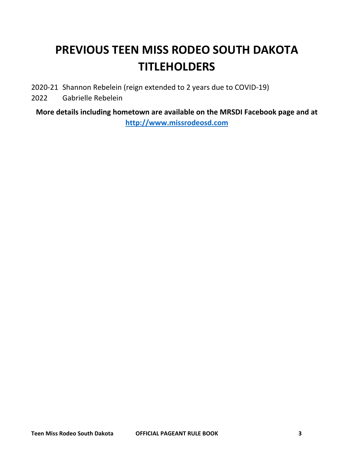## **PREVIOUS TEEN MISS RODEO SOUTH DAKOTA TITLEHOLDERS**

- 2020-21 Shannon Rebelein (reign extended to 2 years due to COVID-19)
- 2022 Gabrielle Rebelein

**More details including hometown are available on the MRSDI Facebook page and at [http://www.missrodeosd.com](http://www.missrodeosd.com/)**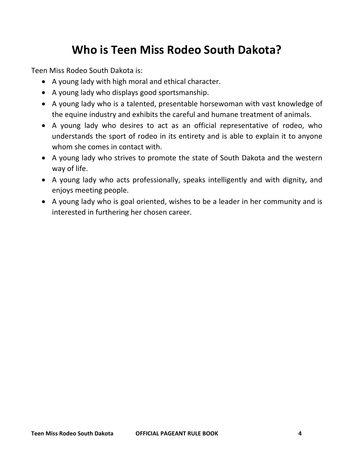## **Who is Teen Miss Rodeo South Dakota?**

Teen Miss Rodeo South Dakota is:

- A young lady with high moral and ethical character.
- A young lady who displays good sportsmanship.
- A young lady who is a talented, presentable horsewoman with vast knowledge of the equine industry and exhibits the careful and humane treatment of animals.
- A young lady who desires to act as an official representative of rodeo, who understands the sport of rodeo in its entirety and is able to explain it to anyone whom she comes in contact with.
- A young lady who strives to promote the state of South Dakota and the western way of life.
- A young lady who acts professionally, speaks intelligently and with dignity, and enjoys meeting people.
- A young lady who is goal oriented, wishes to be a leader in her community and is interested in furthering her chosen career.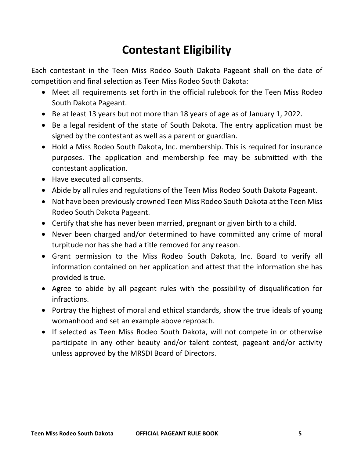## **Contestant Eligibility**

Each contestant in the Teen Miss Rodeo South Dakota Pageant shall on the date of competition and final selection as Teen Miss Rodeo South Dakota:

- Meet all requirements set forth in the official rulebook for the Teen Miss Rodeo South Dakota Pageant.
- Be at least 13 years but not more than 18 years of age as of January 1, 2022.
- Be a legal resident of the state of South Dakota. The entry application must be signed by the contestant as well as a parent or guardian.
- Hold a Miss Rodeo South Dakota, Inc. membership. This is required for insurance purposes. The application and membership fee may be submitted with the contestant application.
- Have executed all consents.
- Abide by all rules and regulations of the Teen Miss Rodeo South Dakota Pageant.
- Not have been previously crowned Teen Miss Rodeo South Dakota at the Teen Miss Rodeo South Dakota Pageant.
- Certify that she has never been married, pregnant or given birth to a child.
- Never been charged and/or determined to have committed any crime of moral turpitude nor has she had a title removed for any reason.
- Grant permission to the Miss Rodeo South Dakota, Inc. Board to verify all information contained on her application and attest that the information she has provided is true.
- Agree to abide by all pageant rules with the possibility of disqualification for infractions.
- Portray the highest of moral and ethical standards, show the true ideals of young womanhood and set an example above reproach.
- If selected as Teen Miss Rodeo South Dakota, will not compete in or otherwise participate in any other beauty and/or talent contest, pageant and/or activity unless approved by the MRSDI Board of Directors.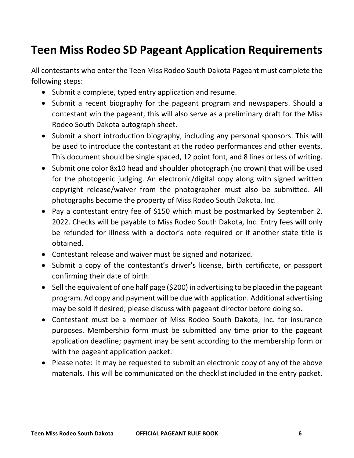## **Teen Miss Rodeo SD Pageant Application Requirements**

All contestants who enter the Teen Miss Rodeo South Dakota Pageant must complete the following steps:

- Submit a complete, typed entry application and resume.
- Submit a recent biography for the pageant program and newspapers. Should a contestant win the pageant, this will also serve as a preliminary draft for the Miss Rodeo South Dakota autograph sheet.
- Submit a short introduction biography, including any personal sponsors. This will be used to introduce the contestant at the rodeo performances and other events. This document should be single spaced, 12 point font, and 8 lines or less of writing.
- Submit one color 8x10 head and shoulder photograph (no crown) that will be used for the photogenic judging. An electronic/digital copy along with signed written copyright release/waiver from the photographer must also be submitted. All photographs become the property of Miss Rodeo South Dakota, Inc.
- Pay a contestant entry fee of \$150 which must be postmarked by September 2, 2022. Checks will be payable to Miss Rodeo South Dakota, Inc. Entry fees will only be refunded for illness with a doctor's note required or if another state title is obtained.
- Contestant release and waiver must be signed and notarized.
- Submit a copy of the contestant's driver's license, birth certificate, or passport confirming their date of birth.
- Sell the equivalent of one half page (\$200) in advertising to be placed in the pageant program. Ad copy and payment will be due with application. Additional advertising may be sold if desired; please discuss with pageant director before doing so.
- Contestant must be a member of Miss Rodeo South Dakota, Inc. for insurance purposes. Membership form must be submitted any time prior to the pageant application deadline; payment may be sent according to the membership form or with the pageant application packet.
- Please note: it may be requested to submit an electronic copy of any of the above materials. This will be communicated on the checklist included in the entry packet.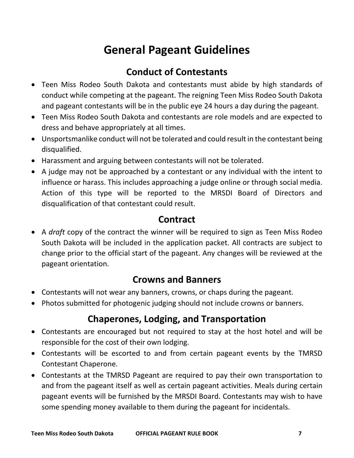## **General Pageant Guidelines**

#### **Conduct of Contestants**

- Teen Miss Rodeo South Dakota and contestants must abide by high standards of conduct while competing at the pageant. The reigning Teen Miss Rodeo South Dakota and pageant contestants will be in the public eye 24 hours a day during the pageant.
- Teen Miss Rodeo South Dakota and contestants are role models and are expected to dress and behave appropriately at all times.
- Unsportsmanlike conduct will not be tolerated and could result in the contestant being disqualified.
- Harassment and arguing between contestants will not be tolerated.
- A judge may not be approached by a contestant or any individual with the intent to influence or harass. This includes approaching a judge online or through social media. Action of this type will be reported to the MRSDI Board of Directors and disqualification of that contestant could result.

#### **Contract**

• A *draft* copy of the contract the winner will be required to sign as Teen Miss Rodeo South Dakota will be included in the application packet. All contracts are subject to change prior to the official start of the pageant. Any changes will be reviewed at the pageant orientation.

#### **Crowns and Banners**

- Contestants will not wear any banners, crowns, or chaps during the pageant.
- Photos submitted for photogenic judging should not include crowns or banners.

#### **Chaperones, Lodging, and Transportation**

- Contestants are encouraged but not required to stay at the host hotel and will be responsible for the cost of their own lodging.
- Contestants will be escorted to and from certain pageant events by the TMRSD Contestant Chaperone.
- Contestants at the TMRSD Pageant are required to pay their own transportation to and from the pageant itself as well as certain pageant activities. Meals during certain pageant events will be furnished by the MRSDI Board. Contestants may wish to have some spending money available to them during the pageant for incidentals.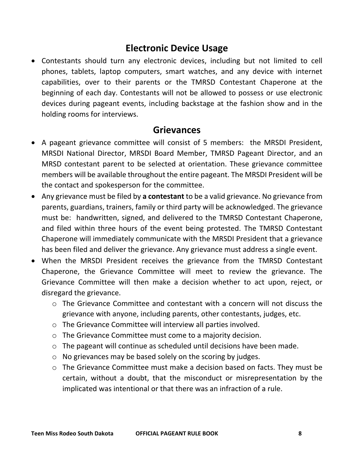#### **Electronic Device Usage**

• Contestants should turn any electronic devices, including but not limited to cell phones, tablets, laptop computers, smart watches, and any device with internet capabilities, over to their parents or the TMRSD Contestant Chaperone at the beginning of each day. Contestants will not be allowed to possess or use electronic devices during pageant events, including backstage at the fashion show and in the holding rooms for interviews.

#### **Grievances**

- A pageant grievance committee will consist of 5 members: the MRSDI President, MRSDI National Director, MRSDI Board Member, TMRSD Pageant Director, and an MRSD contestant parent to be selected at orientation. These grievance committee members will be available throughout the entire pageant. The MRSDI President will be the contact and spokesperson for the committee.
- Any grievance must be filed by **a contestant** to be a valid grievance. No grievance from parents, guardians, trainers, family or third party will be acknowledged. The grievance must be: handwritten, signed, and delivered to the TMRSD Contestant Chaperone, and filed within three hours of the event being protested. The TMRSD Contestant Chaperone will immediately communicate with the MRSDI President that a grievance has been filed and deliver the grievance. Any grievance must address a single event.
- When the MRSDI President receives the grievance from the TMRSD Contestant Chaperone, the Grievance Committee will meet to review the grievance. The Grievance Committee will then make a decision whether to act upon, reject, or disregard the grievance.
	- $\circ$  The Grievance Committee and contestant with a concern will not discuss the grievance with anyone, including parents, other contestants, judges, etc.
	- o The Grievance Committee will interview all parties involved.
	- o The Grievance Committee must come to a majority decision.
	- o The pageant will continue as scheduled until decisions have been made.
	- o No grievances may be based solely on the scoring by judges.
	- o The Grievance Committee must make a decision based on facts. They must be certain, without a doubt, that the misconduct or misrepresentation by the implicated was intentional or that there was an infraction of a rule.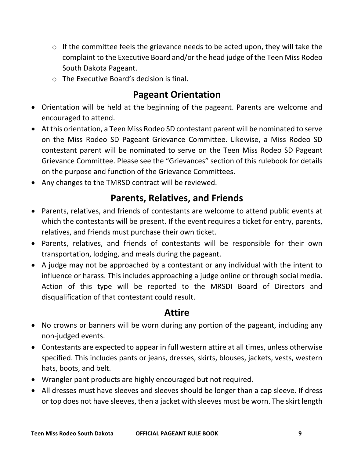- $\circ$  If the committee feels the grievance needs to be acted upon, they will take the complaint to the Executive Board and/or the head judge of the Teen Miss Rodeo South Dakota Pageant.
- o The Executive Board's decision is final.

#### **Pageant Orientation**

- Orientation will be held at the beginning of the pageant. Parents are welcome and encouraged to attend.
- At this orientation, a Teen Miss Rodeo SD contestant parent will be nominated to serve on the Miss Rodeo SD Pageant Grievance Committee. Likewise, a Miss Rodeo SD contestant parent will be nominated to serve on the Teen Miss Rodeo SD Pageant Grievance Committee. Please see the "Grievances" section of this rulebook for details on the purpose and function of the Grievance Committees.
- Any changes to the TMRSD contract will be reviewed.

#### **Parents, Relatives, and Friends**

- Parents, relatives, and friends of contestants are welcome to attend public events at which the contestants will be present. If the event requires a ticket for entry, parents, relatives, and friends must purchase their own ticket.
- Parents, relatives, and friends of contestants will be responsible for their own transportation, lodging, and meals during the pageant.
- A judge may not be approached by a contestant or any individual with the intent to influence or harass. This includes approaching a judge online or through social media. Action of this type will be reported to the MRSDI Board of Directors and disqualification of that contestant could result.

#### **Attire**

- No crowns or banners will be worn during any portion of the pageant, including any non-judged events.
- Contestants are expected to appear in full western attire at all times, unless otherwise specified. This includes pants or jeans, dresses, skirts, blouses, jackets, vests, western hats, boots, and belt.
- Wrangler pant products are highly encouraged but not required.
- All dresses must have sleeves and sleeves should be longer than a cap sleeve. If dress or top does not have sleeves, then a jacket with sleeves must be worn. The skirt length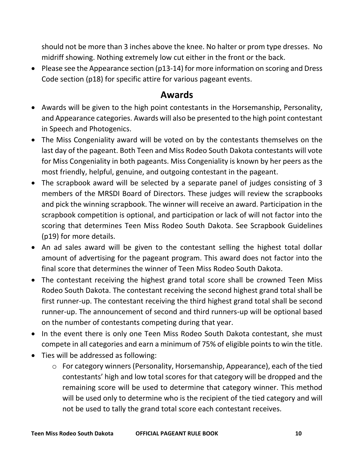should not be more than 3 inches above the knee. No halter or prom type dresses. No midriff showing. Nothing extremely low cut either in the front or the back.

• Please see the Appearance section (p13-14) for more information on scoring and Dress Code section (p18) for specific attire for various pageant events.

#### **Awards**

- Awards will be given to the high point contestants in the Horsemanship, Personality, and Appearance categories. Awards will also be presented to the high point contestant in Speech and Photogenics.
- The Miss Congeniality award will be voted on by the contestants themselves on the last day of the pageant. Both Teen and Miss Rodeo South Dakota contestants will vote for Miss Congeniality in both pageants. Miss Congeniality is known by her peers as the most friendly, helpful, genuine, and outgoing contestant in the pageant.
- The scrapbook award will be selected by a separate panel of judges consisting of 3 members of the MRSDI Board of Directors. These judges will review the scrapbooks and pick the winning scrapbook. The winner will receive an award. Participation in the scrapbook competition is optional, and participation or lack of will not factor into the scoring that determines Teen Miss Rodeo South Dakota. See Scrapbook Guidelines (p19) for more details.
- An ad sales award will be given to the contestant selling the highest total dollar amount of advertising for the pageant program. This award does not factor into the final score that determines the winner of Teen Miss Rodeo South Dakota.
- The contestant receiving the highest grand total score shall be crowned Teen Miss Rodeo South Dakota. The contestant receiving the second highest grand total shall be first runner-up. The contestant receiving the third highest grand total shall be second runner-up. The announcement of second and third runners-up will be optional based on the number of contestants competing during that year.
- In the event there is only one Teen Miss Rodeo South Dakota contestant, she must compete in all categories and earn a minimum of 75% of eligible points to win the title.
- Ties will be addressed as following:
	- o For category winners (Personality, Horsemanship, Appearance), each of the tied contestants' high and low total scores for that category will be dropped and the remaining score will be used to determine that category winner. This method will be used only to determine who is the recipient of the tied category and will not be used to tally the grand total score each contestant receives.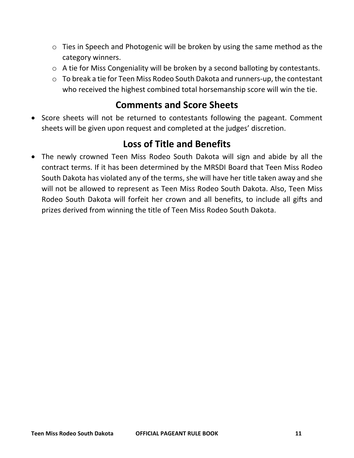- o Ties in Speech and Photogenic will be broken by using the same method as the category winners.
- o A tie for Miss Congeniality will be broken by a second balloting by contestants.
- o To break a tie for Teen Miss Rodeo South Dakota and runners-up, the contestant who received the highest combined total horsemanship score will win the tie.

#### **Comments and Score Sheets**

• Score sheets will not be returned to contestants following the pageant. Comment sheets will be given upon request and completed at the judges' discretion.

#### **Loss of Title and Benefits**

• The newly crowned Teen Miss Rodeo South Dakota will sign and abide by all the contract terms. If it has been determined by the MRSDI Board that Teen Miss Rodeo South Dakota has violated any of the terms, she will have her title taken away and she will not be allowed to represent as Teen Miss Rodeo South Dakota. Also, Teen Miss Rodeo South Dakota will forfeit her crown and all benefits, to include all gifts and prizes derived from winning the title of Teen Miss Rodeo South Dakota.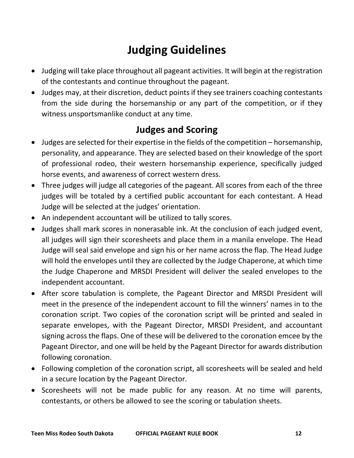## **Judging Guidelines**

- Judging will take place throughout all pageant activities. It will begin at the registration of the contestants and continue throughout the pageant.
- Judges may, at their discretion, deduct points if they see trainers coaching contestants from the side during the horsemanship or any part of the competition, or if they witness unsportsmanlike conduct at any time.

#### **Judges and Scoring**

- Judges are selected for their expertise in the fields of the competition horsemanship, personality, and appearance. They are selected based on their knowledge of the sport of professional rodeo, their western horsemanship experience, specifically judged horse events, and awareness of correct western dress.
- Three judges will judge all categories of the pageant. All scores from each of the three judges will be totaled by a certified public accountant for each contestant. A Head Judge will be selected at the judges' orientation.
- An independent accountant will be utilized to tally scores.
- Judges shall mark scores in nonerasable ink. At the conclusion of each judged event, all judges will sign their scoresheets and place them in a manila envelope. The Head Judge will seal said envelope and sign his or her name across the flap. The Head Judge will hold the envelopes until they are collected by the Judge Chaperone, at which time the Judge Chaperone and MRSDI President will deliver the sealed envelopes to the independent accountant.
- After score tabulation is complete, the Pageant Director and MRSDI President will meet in the presence of the independent account to fill the winners' names in to the coronation script. Two copies of the coronation script will be printed and sealed in separate envelopes, with the Pageant Director, MRSDI President, and accountant signing across the flaps. One of these will be delivered to the coronation emcee by the Pageant Director, and one will be held by the Pageant Director for awards distribution following coronation.
- Following completion of the coronation script, all scoresheets will be sealed and held in a secure location by the Pageant Director.
- Scoresheets will not be made public for any reason. At no time will parents, contestants, or others be allowed to see the scoring or tabulation sheets.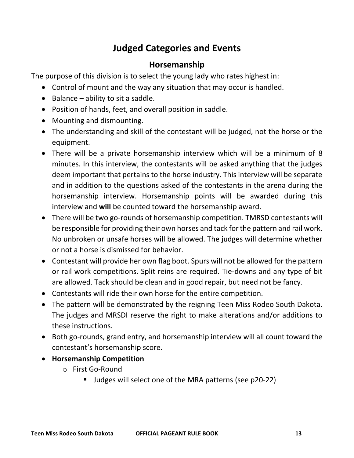#### **Judged Categories and Events**

#### **Horsemanship**

The purpose of this division is to select the young lady who rates highest in:

- Control of mount and the way any situation that may occur is handled.
- Balance ability to sit a saddle.
- Position of hands, feet, and overall position in saddle.
- Mounting and dismounting.
- The understanding and skill of the contestant will be judged, not the horse or the equipment.
- There will be a private horsemanship interview which will be a minimum of 8 minutes. In this interview, the contestants will be asked anything that the judges deem important that pertains to the horse industry. This interview will be separate and in addition to the questions asked of the contestants in the arena during the horsemanship interview. Horsemanship points will be awarded during this interview and **will** be counted toward the horsemanship award.
- There will be two go-rounds of horsemanship competition. TMRSD contestants will be responsible for providing their own horses and tack for the pattern and rail work. No unbroken or unsafe horses will be allowed. The judges will determine whether or not a horse is dismissed for behavior.
- Contestant will provide her own flag boot. Spurs will not be allowed for the pattern or rail work competitions. Split reins are required. Tie-downs and any type of bit are allowed. Tack should be clean and in good repair, but need not be fancy.
- Contestants will ride their own horse for the entire competition.
- The pattern will be demonstrated by the reigning Teen Miss Rodeo South Dakota. The judges and MRSDI reserve the right to make alterations and/or additions to these instructions.
- Both go-rounds, grand entry, and horsemanship interview will all count toward the contestant's horsemanship score.
- **Horsemanship Competition**
	- o First Go-Round
		- Judges will select one of the MRA patterns (see p20-22)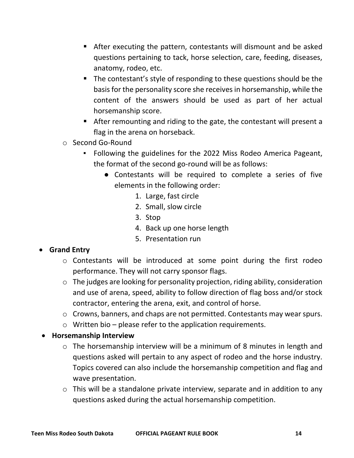- After executing the pattern, contestants will dismount and be asked questions pertaining to tack, horse selection, care, feeding, diseases, anatomy, rodeo, etc.
- The contestant's style of responding to these questions should be the basis for the personality score she receives in horsemanship, while the content of the answers should be used as part of her actual horsemanship score.
- After remounting and riding to the gate, the contestant will present a flag in the arena on horseback.
- o Second Go-Round
	- Following the guidelines for the 2022 Miss Rodeo America Pageant, the format of the second go-round will be as follows:
		- Contestants will be required to complete a series of five elements in the following order:
			- 1. Large, fast circle
			- 2. Small, slow circle
			- 3. Stop
			- 4. Back up one horse length
			- 5. Presentation run

#### • **Grand Entry**

- o Contestants will be introduced at some point during the first rodeo performance. They will not carry sponsor flags.
- o The judges are looking for personality projection, riding ability, consideration and use of arena, speed, ability to follow direction of flag boss and/or stock contractor, entering the arena, exit, and control of horse.
- o Crowns, banners, and chaps are not permitted. Contestants may wear spurs.
- $\circ$  Written bio please refer to the application requirements.

#### • **Horsemanship Interview**

- o The horsemanship interview will be a minimum of 8 minutes in length and questions asked will pertain to any aspect of rodeo and the horse industry. Topics covered can also include the horsemanship competition and flag and wave presentation.
- $\circ$  This will be a standalone private interview, separate and in addition to any questions asked during the actual horsemanship competition.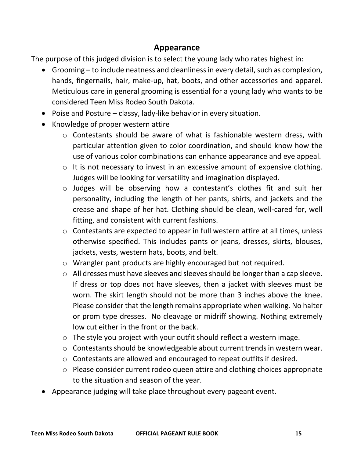#### **Appearance**

The purpose of this judged division is to select the young lady who rates highest in:

- Grooming to include neatness and cleanliness in every detail, such as complexion, hands, fingernails, hair, make-up, hat, boots, and other accessories and apparel. Meticulous care in general grooming is essential for a young lady who wants to be considered Teen Miss Rodeo South Dakota.
- Poise and Posture classy, lady-like behavior in every situation.
- Knowledge of proper western attire
	- o Contestants should be aware of what is fashionable western dress, with particular attention given to color coordination, and should know how the use of various color combinations can enhance appearance and eye appeal.
	- o It is not necessary to invest in an excessive amount of expensive clothing. Judges will be looking for versatility and imagination displayed.
	- o Judges will be observing how a contestant's clothes fit and suit her personality, including the length of her pants, shirts, and jackets and the crease and shape of her hat. Clothing should be clean, well-cared for, well fitting, and consistent with current fashions.
	- o Contestants are expected to appear in full western attire at all times, unless otherwise specified. This includes pants or jeans, dresses, skirts, blouses, jackets, vests, western hats, boots, and belt.
	- o Wrangler pant products are highly encouraged but not required.
	- o All dresses must have sleeves and sleeves should be longer than a cap sleeve. If dress or top does not have sleeves, then a jacket with sleeves must be worn. The skirt length should not be more than 3 inches above the knee. Please consider that the length remains appropriate when walking. No halter or prom type dresses. No cleavage or midriff showing. Nothing extremely low cut either in the front or the back.
	- o The style you project with your outfit should reflect a western image.
	- o Contestants should be knowledgeable about current trends in western wear.
	- o Contestants are allowed and encouraged to repeat outfits if desired.
	- o Please consider current rodeo queen attire and clothing choices appropriate to the situation and season of the year.
- Appearance judging will take place throughout every pageant event.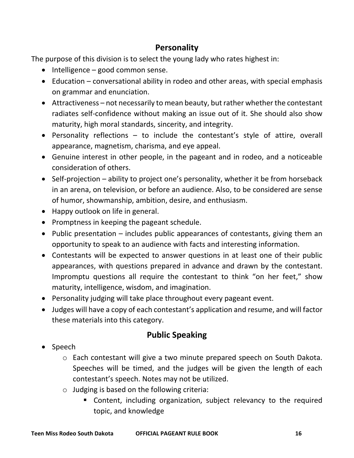#### **Personality**

The purpose of this division is to select the young lady who rates highest in:

- Intelligence good common sense.
- Education conversational ability in rodeo and other areas, with special emphasis on grammar and enunciation.
- Attractiveness not necessarily to mean beauty, but rather whether the contestant radiates self-confidence without making an issue out of it. She should also show maturity, high moral standards, sincerity, and integrity.
- Personality reflections to include the contestant's style of attire, overall appearance, magnetism, charisma, and eye appeal.
- Genuine interest in other people, in the pageant and in rodeo, and a noticeable consideration of others.
- Self-projection ability to project one's personality, whether it be from horseback in an arena, on television, or before an audience. Also, to be considered are sense of humor, showmanship, ambition, desire, and enthusiasm.
- Happy outlook on life in general.
- Promptness in keeping the pageant schedule.
- Public presentation includes public appearances of contestants, giving them an opportunity to speak to an audience with facts and interesting information.
- Contestants will be expected to answer questions in at least one of their public appearances, with questions prepared in advance and drawn by the contestant. Impromptu questions all require the contestant to think "on her feet," show maturity, intelligence, wisdom, and imagination.
- Personality judging will take place throughout every pageant event.
- Judges will have a copy of each contestant's application and resume, and will factor these materials into this category.

#### **Public Speaking**

- Speech
	- o Each contestant will give a two minute prepared speech on South Dakota. Speeches will be timed, and the judges will be given the length of each contestant's speech. Notes may not be utilized.
	- o Judging is based on the following criteria:
		- Content, including organization, subject relevancy to the required topic, and knowledge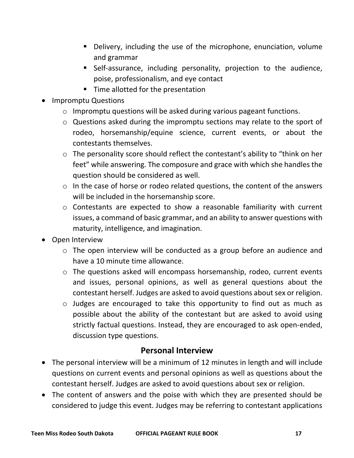- Delivery, including the use of the microphone, enunciation, volume and grammar
- Self-assurance, including personality, projection to the audience, poise, professionalism, and eye contact
- Time allotted for the presentation
- Impromptu Questions
	- o Impromptu questions will be asked during various pageant functions.
	- o Questions asked during the impromptu sections may relate to the sport of rodeo, horsemanship/equine science, current events, or about the contestants themselves.
	- o The personality score should reflect the contestant's ability to "think on her feet" while answering. The composure and grace with which she handles the question should be considered as well.
	- o In the case of horse or rodeo related questions, the content of the answers will be included in the horsemanship score.
	- o Contestants are expected to show a reasonable familiarity with current issues, a command of basic grammar, and an ability to answer questions with maturity, intelligence, and imagination.
- Open Interview
	- o The open interview will be conducted as a group before an audience and have a 10 minute time allowance.
	- o The questions asked will encompass horsemanship, rodeo, current events and issues, personal opinions, as well as general questions about the contestant herself. Judges are asked to avoid questions about sex or religion.
	- o Judges are encouraged to take this opportunity to find out as much as possible about the ability of the contestant but are asked to avoid using strictly factual questions. Instead, they are encouraged to ask open-ended, discussion type questions.

#### **Personal Interview**

- The personal interview will be a minimum of 12 minutes in length and will include questions on current events and personal opinions as well as questions about the contestant herself. Judges are asked to avoid questions about sex or religion.
- The content of answers and the poise with which they are presented should be considered to judge this event. Judges may be referring to contestant applications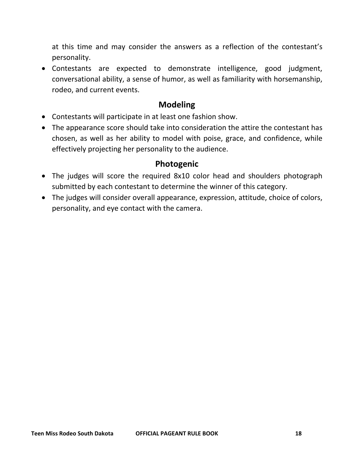at this time and may consider the answers as a reflection of the contestant's personality.

• Contestants are expected to demonstrate intelligence, good judgment, conversational ability, a sense of humor, as well as familiarity with horsemanship, rodeo, and current events.

#### **Modeling**

- Contestants will participate in at least one fashion show.
- The appearance score should take into consideration the attire the contestant has chosen, as well as her ability to model with poise, grace, and confidence, while effectively projecting her personality to the audience.

#### **Photogenic**

- The judges will score the required 8x10 color head and shoulders photograph submitted by each contestant to determine the winner of this category.
- The judges will consider overall appearance, expression, attitude, choice of colors, personality, and eye contact with the camera.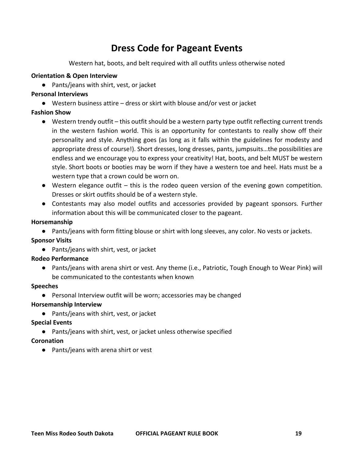#### **Dress Code for Pageant Events**

Western hat, boots, and belt required with all outfits unless otherwise noted

#### **Orientation & Open Interview**

● Pants/jeans with shirt, vest, or jacket

#### **Personal Interviews**

● Western business attire – dress or skirt with blouse and/or vest or jacket

#### **Fashion Show**

- Western trendy outfit this outfit should be a western party type outfit reflecting current trends in the western fashion world. This is an opportunity for contestants to really show off their personality and style. Anything goes (as long as it falls within the guidelines for modesty and appropriate dress of course!). Short dresses, long dresses, pants, jumpsuits…the possibilities are endless and we encourage you to express your creativity! Hat, boots, and belt MUST be western style. Short boots or booties may be worn if they have a western toe and heel. Hats must be a western type that a crown could be worn on.
- $\bullet$  Western elegance outfit this is the rodeo queen version of the evening gown competition. Dresses or skirt outfits should be of a western style.
- Contestants may also model outfits and accessories provided by pageant sponsors. Further information about this will be communicated closer to the pageant.

#### **Horsemanship**

● Pants/jeans with form fitting blouse or shirt with long sleeves, any color. No vests or jackets.

#### **Sponsor Visits**

● Pants/jeans with shirt, vest, or jacket

#### **Rodeo Performance**

● Pants/jeans with arena shirt or vest. Any theme (i.e., Patriotic, Tough Enough to Wear Pink) will be communicated to the contestants when known

#### **Speeches**

● Personal Interview outfit will be worn; accessories may be changed

#### **Horsemanship Interview**

● Pants/jeans with shirt, vest, or jacket

#### **Special Events**

● Pants/jeans with shirt, vest, or jacket unless otherwise specified

#### **Coronation**

● Pants/jeans with arena shirt or vest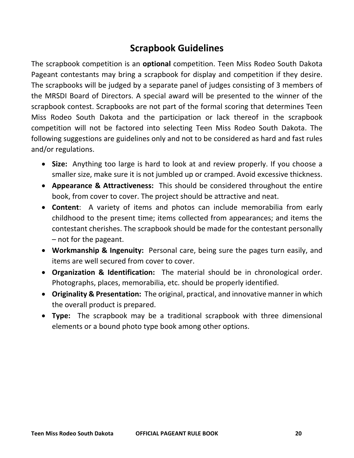#### **Scrapbook Guidelines**

The scrapbook competition is an **optional** competition. Teen Miss Rodeo South Dakota Pageant contestants may bring a scrapbook for display and competition if they desire. The scrapbooks will be judged by a separate panel of judges consisting of 3 members of the MRSDI Board of Directors. A special award will be presented to the winner of the scrapbook contest. Scrapbooks are not part of the formal scoring that determines Teen Miss Rodeo South Dakota and the participation or lack thereof in the scrapbook competition will not be factored into selecting Teen Miss Rodeo South Dakota. The following suggestions are guidelines only and not to be considered as hard and fast rules and/or regulations.

- **Size:** Anything too large is hard to look at and review properly. If you choose a smaller size, make sure it is not jumbled up or cramped. Avoid excessive thickness.
- **Appearance & Attractiveness:** This should be considered throughout the entire book, from cover to cover. The project should be attractive and neat.
- **Content**: A variety of items and photos can include memorabilia from early childhood to the present time; items collected from appearances; and items the contestant cherishes. The scrapbook should be made for the contestant personally – not for the pageant.
- **Workmanship & Ingenuity:** Personal care, being sure the pages turn easily, and items are well secured from cover to cover.
- **Organization & Identification:** The material should be in chronological order. Photographs, places, memorabilia, etc. should be properly identified.
- **Originality & Presentation:** The original, practical, and innovative manner in which the overall product is prepared.
- **Type:** The scrapbook may be a traditional scrapbook with three dimensional elements or a bound photo type book among other options.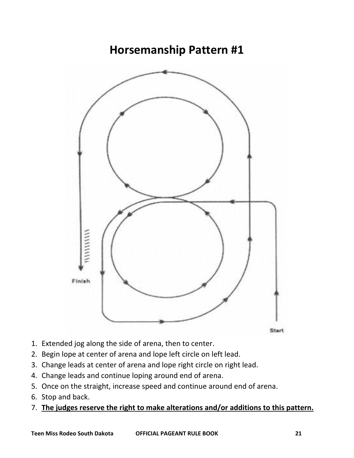### **Horsemanship Pattern #1**



- 1. Extended jog along the side of arena, then to center.
- 2. Begin lope at center of arena and lope left circle on left lead.
- 3. Change leads at center of arena and lope right circle on right lead.
- 4. Change leads and continue loping around end of arena.
- 5. Once on the straight, increase speed and continue around end of arena.
- 6. Stop and back.
- 7. **The judges reserve the right to make alterations and/or additions to this pattern.**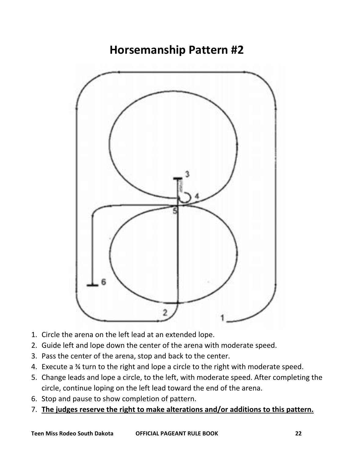



- 1. Circle the arena on the left lead at an extended lope.
- 2. Guide left and lope down the center of the arena with moderate speed.
- 3. Pass the center of the arena, stop and back to the center.
- 4. Execute a ¾ turn to the right and lope a circle to the right with moderate speed.
- 5. Change leads and lope a circle, to the left, with moderate speed. After completing the circle, continue loping on the left lead toward the end of the arena.
- 6. Stop and pause to show completion of pattern.
- 7. **The judges reserve the right to make alterations and/or additions to this pattern.**